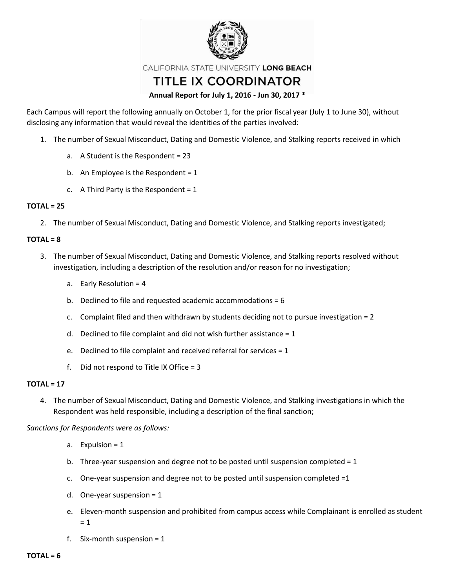

CALIFORNIA STATE UNIVERSITY LONG BEACH

# TITLE IX COORDINATOR

## **Annual Report for July 1, 2016 - Jun 30, 2017 \***

Each Campus will report the following annually on October 1, for the prior fiscal year (July 1 to June 30), without disclosing any information that would reveal the identities of the parties involved:

- 1. The number of Sexual Misconduct, Dating and Domestic Violence, and Stalking reports received in which
	- a. A Student is the Respondent = 23
	- b. An Employee is the Respondent =  $1$
	- c. A Third Party is the Respondent =  $1$

## **TOTAL = 25**

2. The number of Sexual Misconduct, Dating and Domestic Violence, and Stalking reports investigated;

## **TOTAL = 8**

- 3. The number of Sexual Misconduct, Dating and Domestic Violence, and Stalking reports resolved without investigation, including a description of the resolution and/or reason for no investigation;
	- a. Early Resolution = 4
	- b. Declined to file and requested academic accommodations = 6
	- c. Complaint filed and then withdrawn by students deciding not to pursue investigation = 2
	- d. Declined to file complaint and did not wish further assistance =  $1$
	- e. Declined to file complaint and received referral for services = 1
	- f. Did not respond to Title IX Office =  $3$

## **TOTAL = 17**

4. The number of Sexual Misconduct, Dating and Domestic Violence, and Stalking investigations in which the Respondent was held responsible, including a description of the final sanction;

*Sanctions for Respondents were as follows:*

- a. Expulsion = 1
- b. Three-year suspension and degree not to be posted until suspension completed = 1
- c. One-year suspension and degree not to be posted until suspension completed  $=1$
- d. One-year suspension  $= 1$
- e. Eleven-month suspension and prohibited from campus access while Complainant is enrolled as student  $= 1$
- f. Six-month suspension = 1